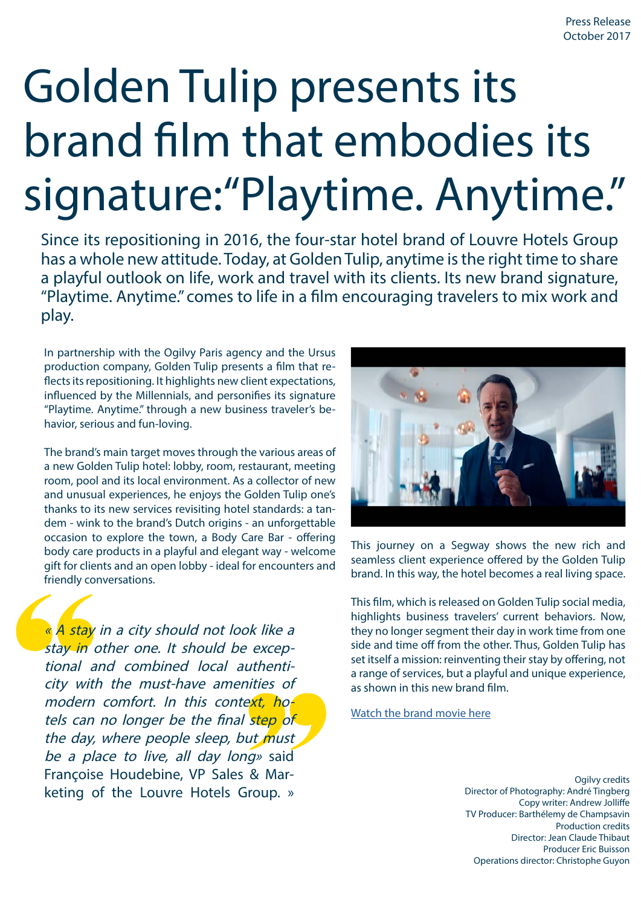# Golden Tulip presents its brand film that embodies its signature:"Playtime. Anytime."

Since its repositioning in 2016, the four-star hotel brand of Louvre Hotels Group has a whole new attitude. Today, at Golden Tulip, anytime is the right time to share a playful outlook on life, work and travel with its clients. Its new brand signature, "Playtime. Anytime." comes to life in a film encouraging travelers to mix work and play.

In partnership with the Ogilvy Paris agency and the Ursus production company, Golden Tulip presents a film that reflects its repositioning. It highlights new client expectations, influenced by the Millennials, and personifies its signature "Playtime. Anytime." through a new business traveler's behavior, serious and fun-loving.

The brand's main target moves through the various areas of a new Golden Tulip hotel: lobby, room, restaurant, meeting room, pool and its local environment. As a collector of new and unusual experiences, he enjoys the Golden Tulip one's thanks to its new services revisiting hotel standards: a tandem - wink to the brand's Dutch origins - an unforgettable occasion to explore the town, a Body Care Bar - offering body care products in a playful and elegant way - welcome gift for clients and an open lobby - ideal for encounters and friendly conversations.

« A stay in a city should not look like a stay in other one. It should be exceptional and combined local authenticity with the must-have amenities of modern comfort. In this context, hotels can no longer be the final step of the day, where people sleep, but must be a place to live, all day long» said Françoise Houdebine, VP Sales & Marketing of the Louvre Hotels Group. »



This journey on a Segway shows the new rich and seamless client experience offered by the Golden Tulip brand. In this way, the hotel becomes a real living space.

This film, which is released on Golden Tulip social media, highlights business travelers' current behaviors. Now, they no longer segment their day in work time from one side and time off from the other. Thus, Golden Tulip has set itself a mission: reinventing their stay by offering, not a range of services, but a playful and unique experience, as shown in this new brand film.

[Watch the brand movie here](https://www.youtube.com/watch?v=DYWLqZr59Yk)

Ogilvy credits Director of Photography: André Tingberg Copy writer: Andrew Jolliffe TV Producer: Barthélemy de Champsavin Production credits Director: Jean Claude Thibaut Producer Eric Buisson Operations director: Christophe Guyon